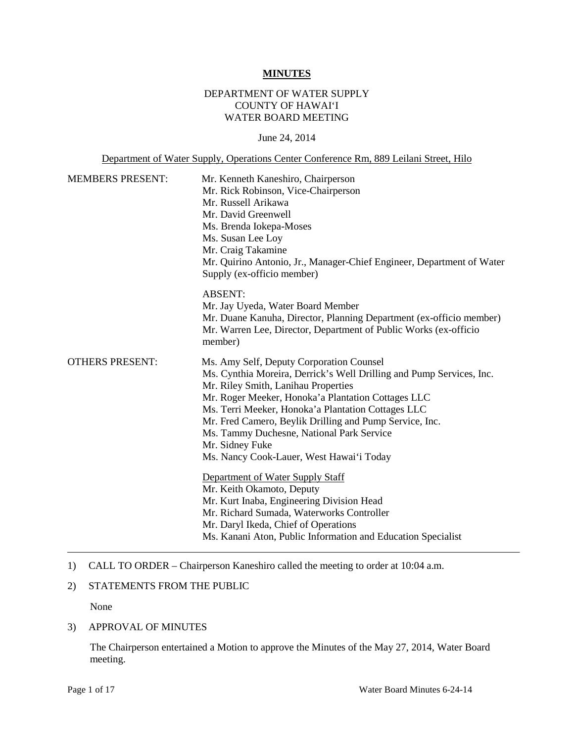### **MINUTES**

## DEPARTMENT OF WATER SUPPLY COUNTY OF HAWAI'I WATER BOARD MEETING

#### June 24, 2014

### Department of Water Supply, Operations Center Conference Rm, 889 Leilani Street, Hilo

| <b>MEMBERS PRESENT:</b> | Mr. Kenneth Kaneshiro, Chairperson<br>Mr. Rick Robinson, Vice-Chairperson<br>Mr. Russell Arikawa<br>Mr. David Greenwell<br>Ms. Brenda Iokepa-Moses<br>Ms. Susan Lee Loy<br>Mr. Craig Takamine<br>Mr. Quirino Antonio, Jr., Manager-Chief Engineer, Department of Water<br>Supply (ex-officio member)                                                                                                                                                                                                                                                     |  |
|-------------------------|----------------------------------------------------------------------------------------------------------------------------------------------------------------------------------------------------------------------------------------------------------------------------------------------------------------------------------------------------------------------------------------------------------------------------------------------------------------------------------------------------------------------------------------------------------|--|
|                         | <b>ABSENT:</b><br>Mr. Jay Uyeda, Water Board Member<br>Mr. Duane Kanuha, Director, Planning Department (ex-officio member)<br>Mr. Warren Lee, Director, Department of Public Works (ex-officio<br>member)                                                                                                                                                                                                                                                                                                                                                |  |
| <b>OTHERS PRESENT:</b>  | Ms. Amy Self, Deputy Corporation Counsel<br>Ms. Cynthia Moreira, Derrick's Well Drilling and Pump Services, Inc.<br>Mr. Riley Smith, Lanihau Properties<br>Mr. Roger Meeker, Honoka'a Plantation Cottages LLC<br>Ms. Terri Meeker, Honoka'a Plantation Cottages LLC<br>Mr. Fred Camero, Beylik Drilling and Pump Service, Inc.<br>Ms. Tammy Duchesne, National Park Service<br>Mr. Sidney Fuke<br>Ms. Nancy Cook-Lauer, West Hawai'i Today<br>Department of Water Supply Staff<br>Mr. Keith Okamoto, Deputy<br>Mr. Kurt Inaba, Engineering Division Head |  |
|                         | Mr. Richard Sumada, Waterworks Controller<br>Mr. Daryl Ikeda, Chief of Operations<br>Ms. Kanani Aton, Public Information and Education Specialist                                                                                                                                                                                                                                                                                                                                                                                                        |  |

### 1) CALL TO ORDER – Chairperson Kaneshiro called the meeting to order at 10:04 a.m.

### 2) STATEMENTS FROM THE PUBLIC

None

#### 3) APPROVAL OF MINUTES

The Chairperson entertained a Motion to approve the Minutes of the May 27, 2014, Water Board meeting.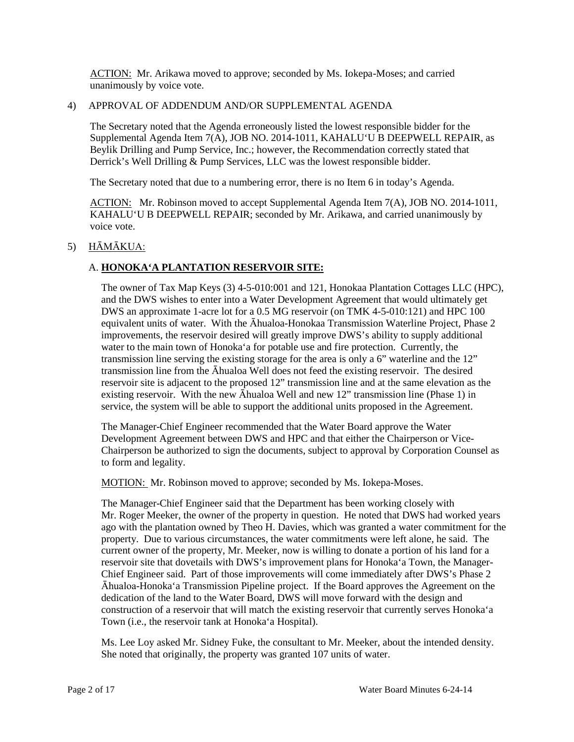ACTION: Mr. Arikawa moved to approve; seconded by Ms. Iokepa-Moses; and carried unanimously by voice vote.

## 4) APPROVAL OF ADDENDUM AND/OR SUPPLEMENTAL AGENDA

The Secretary noted that the Agenda erroneously listed the lowest responsible bidder for the Supplemental Agenda Item 7(A), JOB NO. 2014-1011, KAHALU'U B DEEPWELL REPAIR, as Beylik Drilling and Pump Service, Inc.; however, the Recommendation correctly stated that Derrick's Well Drilling & Pump Services, LLC was the lowest responsible bidder.

The Secretary noted that due to a numbering error, there is no Item 6 in today's Agenda.

ACTION: Mr. Robinson moved to accept Supplemental Agenda Item 7(A), JOB NO. 2014-1011, KAHALU'U B DEEPWELL REPAIR; seconded by Mr. Arikawa, and carried unanimously by voice vote.

## 5) HĀMĀKUA:

# A. **HONOKA'A PLANTATION RESERVOIR SITE:**

The owner of Tax Map Keys (3) 4-5-010:001 and 121, Honokaa Plantation Cottages LLC (HPC), and the DWS wishes to enter into a Water Development Agreement that would ultimately get DWS an approximate 1-acre lot for a 0.5 MG reservoir (on TMK 4-5-010:121) and HPC 100 equivalent units of water. With the Āhualoa-Honokaa Transmission Waterline Project, Phase 2 improvements, the reservoir desired will greatly improve DWS's ability to supply additional water to the main town of Honoka'a for potable use and fire protection. Currently, the transmission line serving the existing storage for the area is only a 6" waterline and the 12" transmission line from the Āhualoa Well does not feed the existing reservoir. The desired reservoir site is adjacent to the proposed 12" transmission line and at the same elevation as the existing reservoir. With the new Āhualoa Well and new 12" transmission line (Phase 1) in service, the system will be able to support the additional units proposed in the Agreement.

The Manager-Chief Engineer recommended that the Water Board approve the Water Development Agreement between DWS and HPC and that either the Chairperson or Vice-Chairperson be authorized to sign the documents, subject to approval by Corporation Counsel as to form and legality.

MOTION: Mr. Robinson moved to approve; seconded by Ms. Iokepa-Moses.

The Manager-Chief Engineer said that the Department has been working closely with Mr. Roger Meeker, the owner of the property in question. He noted that DWS had worked years ago with the plantation owned by Theo H. Davies, which was granted a water commitment for the property. Due to various circumstances, the water commitments were left alone, he said. The current owner of the property, Mr. Meeker, now is willing to donate a portion of his land for a reservoir site that dovetails with DWS's improvement plans for Honoka'a Town, the Manager-Chief Engineer said. Part of those improvements will come immediately after DWS's Phase 2 Āhualoa-Honoka'a Transmission Pipeline project. If the Board approves the Agreement on the dedication of the land to the Water Board, DWS will move forward with the design and construction of a reservoir that will match the existing reservoir that currently serves Honoka'a Town (i.e., the reservoir tank at Honoka'a Hospital).

Ms. Lee Loy asked Mr. Sidney Fuke, the consultant to Mr. Meeker, about the intended density. She noted that originally, the property was granted 107 units of water.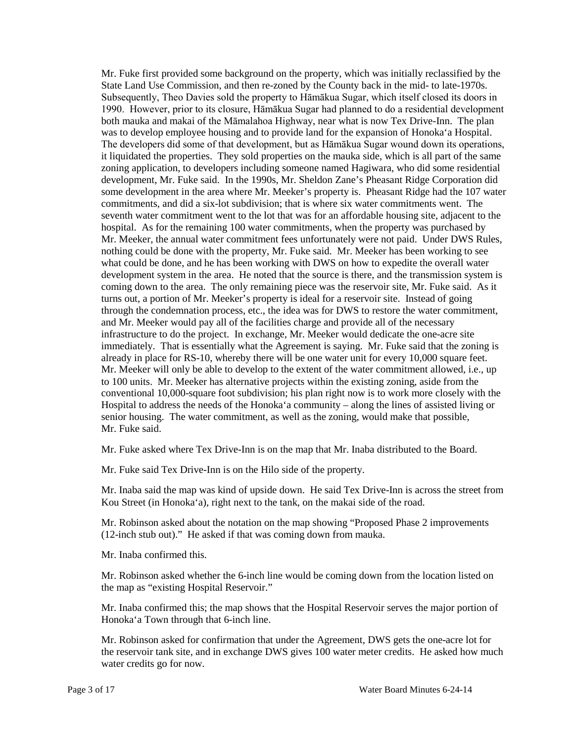Mr. Fuke first provided some background on the property, which was initially reclassified by the State Land Use Commission, and then re-zoned by the County back in the mid- to late-1970s. Subsequently, Theo Davies sold the property to Hāmākua Sugar, which itself closed its doors in 1990. However, prior to its closure, Hāmākua Sugar had planned to do a residential development both mauka and makai of the Māmalahoa Highway, near what is now Tex Drive-Inn. The plan was to develop employee housing and to provide land for the expansion of Honoka'a Hospital. The developers did some of that development, but as Hāmākua Sugar wound down its operations, it liquidated the properties. They sold properties on the mauka side, which is all part of the same zoning application, to developers including someone named Hagiwara, who did some residential development, Mr. Fuke said. In the 1990s, Mr. Sheldon Zane's Pheasant Ridge Corporation did some development in the area where Mr. Meeker's property is. Pheasant Ridge had the 107 water commitments, and did a six-lot subdivision; that is where six water commitments went. The seventh water commitment went to the lot that was for an affordable housing site, adjacent to the hospital. As for the remaining 100 water commitments, when the property was purchased by Mr. Meeker, the annual water commitment fees unfortunately were not paid. Under DWS Rules, nothing could be done with the property, Mr. Fuke said. Mr. Meeker has been working to see what could be done, and he has been working with DWS on how to expedite the overall water development system in the area. He noted that the source is there, and the transmission system is coming down to the area. The only remaining piece was the reservoir site, Mr. Fuke said. As it turns out, a portion of Mr. Meeker's property is ideal for a reservoir site. Instead of going through the condemnation process, etc., the idea was for DWS to restore the water commitment, and Mr. Meeker would pay all of the facilities charge and provide all of the necessary infrastructure to do the project. In exchange, Mr. Meeker would dedicate the one-acre site immediately. That is essentially what the Agreement is saying. Mr. Fuke said that the zoning is already in place for RS-10, whereby there will be one water unit for every 10,000 square feet. Mr. Meeker will only be able to develop to the extent of the water commitment allowed, i.e., up to 100 units. Mr. Meeker has alternative projects within the existing zoning, aside from the conventional 10,000-square foot subdivision; his plan right now is to work more closely with the Hospital to address the needs of the Honoka'a community – along the lines of assisted living or senior housing. The water commitment, as well as the zoning, would make that possible, Mr. Fuke said.

Mr. Fuke asked where Tex Drive-Inn is on the map that Mr. Inaba distributed to the Board.

Mr. Fuke said Tex Drive-Inn is on the Hilo side of the property.

Mr. Inaba said the map was kind of upside down. He said Tex Drive-Inn is across the street from Kou Street (in Honoka'a), right next to the tank, on the makai side of the road.

Mr. Robinson asked about the notation on the map showing "Proposed Phase 2 improvements (12-inch stub out)." He asked if that was coming down from mauka.

Mr. Inaba confirmed this.

Mr. Robinson asked whether the 6-inch line would be coming down from the location listed on the map as "existing Hospital Reservoir."

Mr. Inaba confirmed this; the map shows that the Hospital Reservoir serves the major portion of Honoka'a Town through that 6-inch line.

Mr. Robinson asked for confirmation that under the Agreement, DWS gets the one-acre lot for the reservoir tank site, and in exchange DWS gives 100 water meter credits. He asked how much water credits go for now.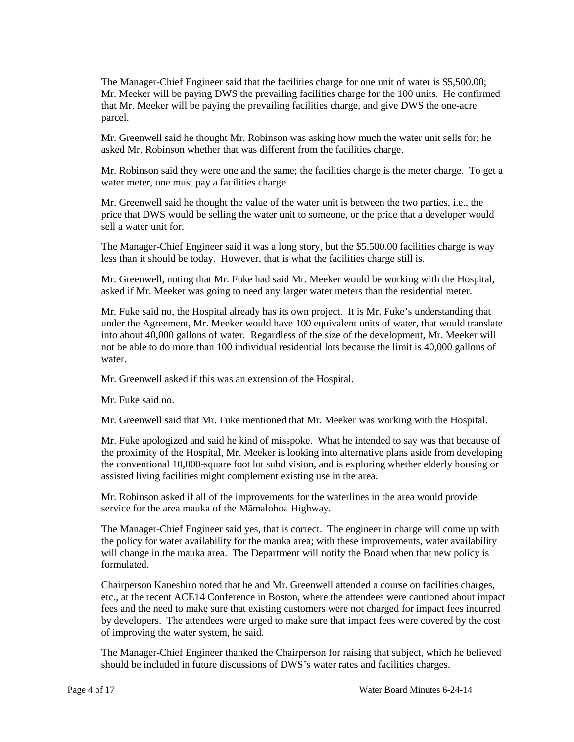The Manager-Chief Engineer said that the facilities charge for one unit of water is \$5,500.00; Mr. Meeker will be paying DWS the prevailing facilities charge for the 100 units. He confirmed that Mr. Meeker will be paying the prevailing facilities charge, and give DWS the one-acre parcel.

Mr. Greenwell said he thought Mr. Robinson was asking how much the water unit sells for; he asked Mr. Robinson whether that was different from the facilities charge.

Mr. Robinson said they were one and the same; the facilities charge is the meter charge. To get a water meter, one must pay a facilities charge.

Mr. Greenwell said he thought the value of the water unit is between the two parties, i.e., the price that DWS would be selling the water unit to someone, or the price that a developer would sell a water unit for.

The Manager-Chief Engineer said it was a long story, but the \$5,500.00 facilities charge is way less than it should be today. However, that is what the facilities charge still is.

Mr. Greenwell, noting that Mr. Fuke had said Mr. Meeker would be working with the Hospital, asked if Mr. Meeker was going to need any larger water meters than the residential meter.

Mr. Fuke said no, the Hospital already has its own project. It is Mr. Fuke's understanding that under the Agreement, Mr. Meeker would have 100 equivalent units of water, that would translate into about 40,000 gallons of water. Regardless of the size of the development, Mr. Meeker will not be able to do more than 100 individual residential lots because the limit is 40,000 gallons of water.

Mr. Greenwell asked if this was an extension of the Hospital.

Mr. Fuke said no.

Mr. Greenwell said that Mr. Fuke mentioned that Mr. Meeker was working with the Hospital.

Mr. Fuke apologized and said he kind of misspoke. What he intended to say was that because of the proximity of the Hospital, Mr. Meeker is looking into alternative plans aside from developing the conventional 10,000-square foot lot subdivision, and is exploring whether elderly housing or assisted living facilities might complement existing use in the area.

Mr. Robinson asked if all of the improvements for the waterlines in the area would provide service for the area mauka of the Māmalohoa Highway.

The Manager-Chief Engineer said yes, that is correct. The engineer in charge will come up with the policy for water availability for the mauka area; with these improvements, water availability will change in the mauka area. The Department will notify the Board when that new policy is formulated.

Chairperson Kaneshiro noted that he and Mr. Greenwell attended a course on facilities charges, etc., at the recent ACE14 Conference in Boston, where the attendees were cautioned about impact fees and the need to make sure that existing customers were not charged for impact fees incurred by developers. The attendees were urged to make sure that impact fees were covered by the cost of improving the water system, he said.

The Manager-Chief Engineer thanked the Chairperson for raising that subject, which he believed should be included in future discussions of DWS's water rates and facilities charges.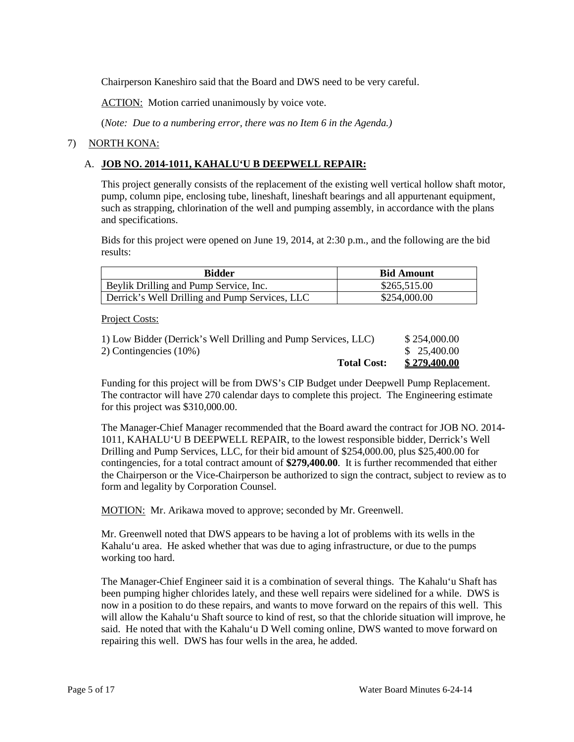Chairperson Kaneshiro said that the Board and DWS need to be very careful.

**ACTION:** Motion carried unanimously by voice vote.

(*Note: Due to a numbering error, there was no Item 6 in the Agenda.)*

## 7) NORTH KONA:

## A. **JOB NO. 2014-1011, KAHALU'U B DEEPWELL REPAIR:**

This project generally consists of the replacement of the existing well vertical hollow shaft motor, pump, column pipe, enclosing tube, lineshaft, lineshaft bearings and all appurtenant equipment, such as strapping, chlorination of the well and pumping assembly, in accordance with the plans and specifications.

Bids for this project were opened on June 19, 2014, at 2:30 p.m., and the following are the bid results:

| <b>Bidder</b>                                  | <b>Bid Amount</b> |
|------------------------------------------------|-------------------|
| Beylik Drilling and Pump Service, Inc.         | \$265,515.00      |
| Derrick's Well Drilling and Pump Services, LLC | \$254,000.00      |

Project Costs:

| <b>Total Cost:</b>                                             | <u>\$279,400.00</u> |
|----------------------------------------------------------------|---------------------|
| 2) Contingencies $(10\%)$                                      | \$25,400.00         |
| 1) Low Bidder (Derrick's Well Drilling and Pump Services, LLC) | \$254,000.00        |

Funding for this project will be from DWS's CIP Budget under Deepwell Pump Replacement. The contractor will have 270 calendar days to complete this project. The Engineering estimate for this project was \$310,000.00.

The Manager-Chief Manager recommended that the Board award the contract for JOB NO. 2014- 1011, KAHALU'U B DEEPWELL REPAIR, to the lowest responsible bidder, Derrick's Well Drilling and Pump Services, LLC, for their bid amount of \$254,000.00, plus \$25,400.00 for contingencies, for a total contract amount of **\$279,400.00**. It is further recommended that either the Chairperson or the Vice-Chairperson be authorized to sign the contract, subject to review as to form and legality by Corporation Counsel.

MOTION: Mr. Arikawa moved to approve; seconded by Mr. Greenwell.

Mr. Greenwell noted that DWS appears to be having a lot of problems with its wells in the Kahalu'u area. He asked whether that was due to aging infrastructure, or due to the pumps working too hard.

The Manager-Chief Engineer said it is a combination of several things. The Kahalu'u Shaft has been pumping higher chlorides lately, and these well repairs were sidelined for a while. DWS is now in a position to do these repairs, and wants to move forward on the repairs of this well. This will allow the Kahalu'u Shaft source to kind of rest, so that the chloride situation will improve, he said. He noted that with the Kahalu'u D Well coming online, DWS wanted to move forward on repairing this well. DWS has four wells in the area, he added.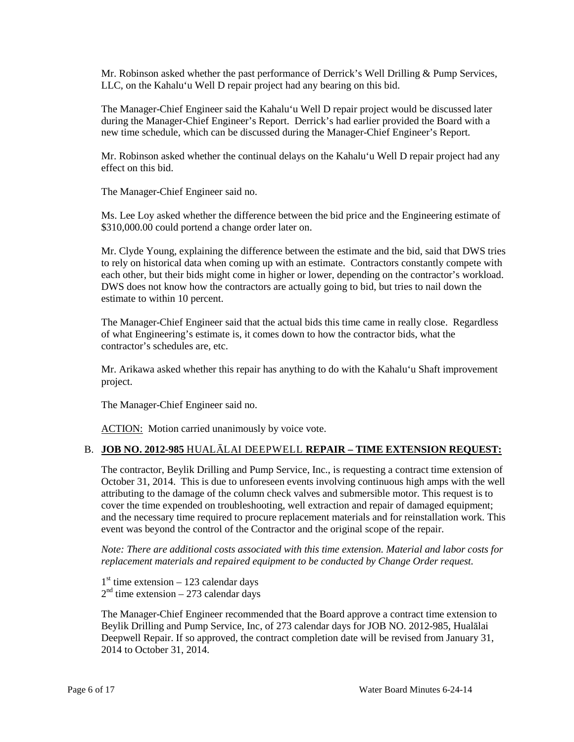Mr. Robinson asked whether the past performance of Derrick's Well Drilling & Pump Services, LLC, on the Kahalu'u Well D repair project had any bearing on this bid.

The Manager-Chief Engineer said the Kahalu'u Well D repair project would be discussed later during the Manager-Chief Engineer's Report. Derrick's had earlier provided the Board with a new time schedule, which can be discussed during the Manager-Chief Engineer's Report.

Mr. Robinson asked whether the continual delays on the Kahalu'u Well D repair project had any effect on this bid.

The Manager-Chief Engineer said no.

Ms. Lee Loy asked whether the difference between the bid price and the Engineering estimate of \$310,000.00 could portend a change order later on.

Mr. Clyde Young, explaining the difference between the estimate and the bid, said that DWS tries to rely on historical data when coming up with an estimate. Contractors constantly compete with each other, but their bids might come in higher or lower, depending on the contractor's workload. DWS does not know how the contractors are actually going to bid, but tries to nail down the estimate to within 10 percent.

The Manager-Chief Engineer said that the actual bids this time came in really close. Regardless of what Engineering's estimate is, it comes down to how the contractor bids, what the contractor's schedules are, etc.

Mr. Arikawa asked whether this repair has anything to do with the Kahalu'u Shaft improvement project.

The Manager-Chief Engineer said no.

ACTION: Motion carried unanimously by voice vote.

## B. **JOB NO. 2012-985** HUALĀLAI DEEPWELL **REPAIR – TIME EXTENSION REQUEST:**

The contractor, Beylik Drilling and Pump Service, Inc., is requesting a contract time extension of October 31, 2014. This is due to unforeseen events involving continuous high amps with the well attributing to the damage of the column check valves and submersible motor. This request is to cover the time expended on troubleshooting, well extraction and repair of damaged equipment; and the necessary time required to procure replacement materials and for reinstallation work. This event was beyond the control of the Contractor and the original scope of the repair.

*Note: There are additional costs associated with this time extension. Material and labor costs for replacement materials and repaired equipment to be conducted by Change Order request.*

 $1<sup>st</sup>$  time extension – 123 calendar days  $2<sup>nd</sup>$  time extension – 273 calendar days

The Manager-Chief Engineer recommended that the Board approve a contract time extension to Beylik Drilling and Pump Service, Inc, of 273 calendar days for JOB NO. 2012-985, Hualālai Deepwell Repair. If so approved, the contract completion date will be revised from January 31, 2014 to October 31, 2014.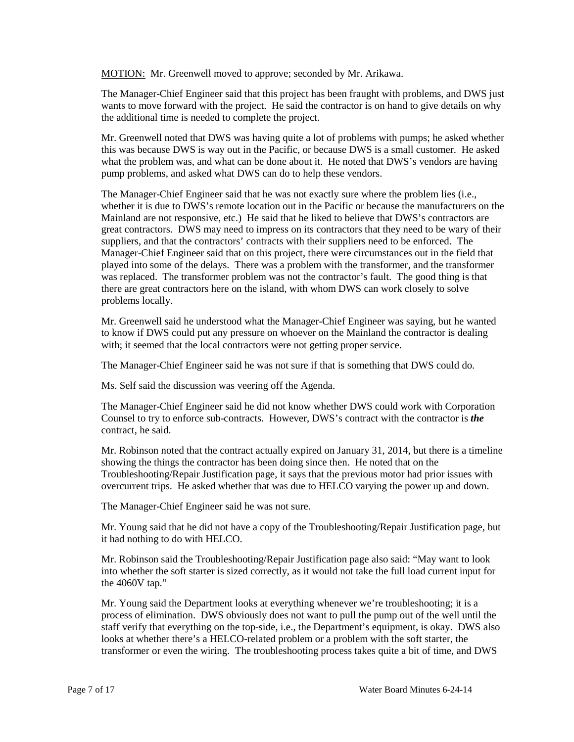MOTION: Mr. Greenwell moved to approve; seconded by Mr. Arikawa.

The Manager-Chief Engineer said that this project has been fraught with problems, and DWS just wants to move forward with the project. He said the contractor is on hand to give details on why the additional time is needed to complete the project.

Mr. Greenwell noted that DWS was having quite a lot of problems with pumps; he asked whether this was because DWS is way out in the Pacific, or because DWS is a small customer. He asked what the problem was, and what can be done about it. He noted that DWS's vendors are having pump problems, and asked what DWS can do to help these vendors.

The Manager-Chief Engineer said that he was not exactly sure where the problem lies (i.e., whether it is due to DWS's remote location out in the Pacific or because the manufacturers on the Mainland are not responsive, etc.) He said that he liked to believe that DWS's contractors are great contractors. DWS may need to impress on its contractors that they need to be wary of their suppliers, and that the contractors' contracts with their suppliers need to be enforced. The Manager-Chief Engineer said that on this project, there were circumstances out in the field that played into some of the delays. There was a problem with the transformer, and the transformer was replaced. The transformer problem was not the contractor's fault. The good thing is that there are great contractors here on the island, with whom DWS can work closely to solve problems locally.

Mr. Greenwell said he understood what the Manager-Chief Engineer was saying, but he wanted to know if DWS could put any pressure on whoever on the Mainland the contractor is dealing with; it seemed that the local contractors were not getting proper service.

The Manager-Chief Engineer said he was not sure if that is something that DWS could do.

Ms. Self said the discussion was veering off the Agenda.

The Manager-Chief Engineer said he did not know whether DWS could work with Corporation Counsel to try to enforce sub-contracts. However, DWS's contract with the contractor is *the* contract, he said.

Mr. Robinson noted that the contract actually expired on January 31, 2014, but there is a timeline showing the things the contractor has been doing since then. He noted that on the Troubleshooting/Repair Justification page, it says that the previous motor had prior issues with overcurrent trips. He asked whether that was due to HELCO varying the power up and down.

The Manager-Chief Engineer said he was not sure.

Mr. Young said that he did not have a copy of the Troubleshooting/Repair Justification page, but it had nothing to do with HELCO.

Mr. Robinson said the Troubleshooting/Repair Justification page also said: "May want to look into whether the soft starter is sized correctly, as it would not take the full load current input for the 4060V tap."

Mr. Young said the Department looks at everything whenever we're troubleshooting; it is a process of elimination. DWS obviously does not want to pull the pump out of the well until the staff verify that everything on the top-side, i.e., the Department's equipment, is okay. DWS also looks at whether there's a HELCO-related problem or a problem with the soft starter, the transformer or even the wiring. The troubleshooting process takes quite a bit of time, and DWS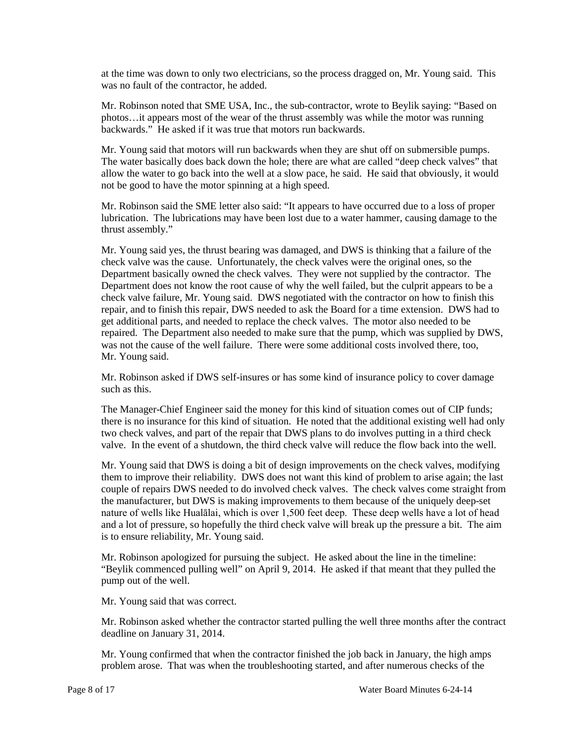at the time was down to only two electricians, so the process dragged on, Mr. Young said. This was no fault of the contractor, he added.

Mr. Robinson noted that SME USA, Inc., the sub-contractor, wrote to Beylik saying: "Based on photos…it appears most of the wear of the thrust assembly was while the motor was running backwards." He asked if it was true that motors run backwards.

Mr. Young said that motors will run backwards when they are shut off on submersible pumps. The water basically does back down the hole; there are what are called "deep check valves" that allow the water to go back into the well at a slow pace, he said. He said that obviously, it would not be good to have the motor spinning at a high speed.

Mr. Robinson said the SME letter also said: "It appears to have occurred due to a loss of proper lubrication. The lubrications may have been lost due to a water hammer, causing damage to the thrust assembly."

Mr. Young said yes, the thrust bearing was damaged, and DWS is thinking that a failure of the check valve was the cause. Unfortunately, the check valves were the original ones, so the Department basically owned the check valves. They were not supplied by the contractor. The Department does not know the root cause of why the well failed, but the culprit appears to be a check valve failure, Mr. Young said. DWS negotiated with the contractor on how to finish this repair, and to finish this repair, DWS needed to ask the Board for a time extension. DWS had to get additional parts, and needed to replace the check valves. The motor also needed to be repaired. The Department also needed to make sure that the pump, which was supplied by DWS, was not the cause of the well failure. There were some additional costs involved there, too, Mr. Young said.

Mr. Robinson asked if DWS self-insures or has some kind of insurance policy to cover damage such as this.

The Manager-Chief Engineer said the money for this kind of situation comes out of CIP funds; there is no insurance for this kind of situation. He noted that the additional existing well had only two check valves, and part of the repair that DWS plans to do involves putting in a third check valve. In the event of a shutdown, the third check valve will reduce the flow back into the well.

Mr. Young said that DWS is doing a bit of design improvements on the check valves, modifying them to improve their reliability. DWS does not want this kind of problem to arise again; the last couple of repairs DWS needed to do involved check valves. The check valves come straight from the manufacturer, but DWS is making improvements to them because of the uniquely deep-set nature of wells like Hualālai, which is over 1,500 feet deep. These deep wells have a lot of head and a lot of pressure, so hopefully the third check valve will break up the pressure a bit. The aim is to ensure reliability, Mr. Young said.

Mr. Robinson apologized for pursuing the subject. He asked about the line in the timeline: "Beylik commenced pulling well" on April 9, 2014. He asked if that meant that they pulled the pump out of the well.

Mr. Young said that was correct.

Mr. Robinson asked whether the contractor started pulling the well three months after the contract deadline on January 31, 2014.

Mr. Young confirmed that when the contractor finished the job back in January, the high amps problem arose. That was when the troubleshooting started, and after numerous checks of the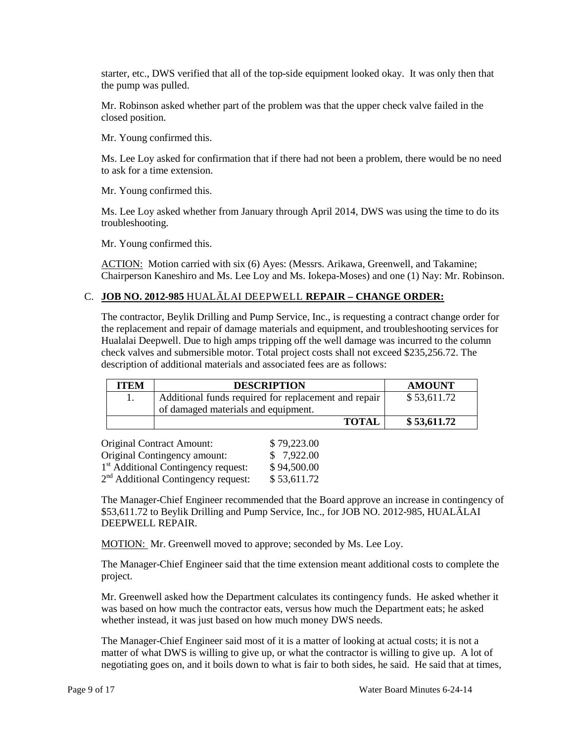starter, etc., DWS verified that all of the top-side equipment looked okay. It was only then that the pump was pulled.

Mr. Robinson asked whether part of the problem was that the upper check valve failed in the closed position.

Mr. Young confirmed this.

Ms. Lee Loy asked for confirmation that if there had not been a problem, there would be no need to ask for a time extension.

Mr. Young confirmed this.

Ms. Lee Loy asked whether from January through April 2014, DWS was using the time to do its troubleshooting.

Mr. Young confirmed this.

ACTION: Motion carried with six (6) Ayes: (Messrs. Arikawa, Greenwell, and Takamine; Chairperson Kaneshiro and Ms. Lee Loy and Ms. Iokepa-Moses) and one (1) Nay: Mr. Robinson.

## C. **JOB NO. 2012-985** HUALĀLAI DEEPWELL **REPAIR – CHANGE ORDER:**

The contractor, Beylik Drilling and Pump Service, Inc., is requesting a contract change order for the replacement and repair of damage materials and equipment, and troubleshooting services for Hualalai Deepwell. Due to high amps tripping off the well damage was incurred to the column check valves and submersible motor. Total project costs shall not exceed \$235,256.72. The description of additional materials and associated fees are as follows:

| \$53,611.72<br>Additional funds required for replacement and repair<br>of damaged materials and equipment. | ITEM | <b>DESCRIPTION</b> | <b>AMOUNT</b> |
|------------------------------------------------------------------------------------------------------------|------|--------------------|---------------|
|                                                                                                            |      |                    |               |
|                                                                                                            |      |                    |               |
|                                                                                                            |      | <b>TOTAL</b>       | \$ 53,611.72  |

| <b>Original Contract Amount:</b>                | \$79,223.00 |
|-------------------------------------------------|-------------|
| Original Contingency amount:                    | \$7,922.00  |
| 1 <sup>st</sup> Additional Contingency request: | \$94,500.00 |
| 2 <sup>nd</sup> Additional Contingency request: | \$53,611.72 |

The Manager-Chief Engineer recommended that the Board approve an increase in contingency of \$53,611.72 to Beylik Drilling and Pump Service, Inc., for JOB NO. 2012-985, HUALĀLAI DEEPWELL REPAIR.

MOTION: Mr. Greenwell moved to approve; seconded by Ms. Lee Loy.

The Manager-Chief Engineer said that the time extension meant additional costs to complete the project.

Mr. Greenwell asked how the Department calculates its contingency funds. He asked whether it was based on how much the contractor eats, versus how much the Department eats; he asked whether instead, it was just based on how much money DWS needs.

The Manager-Chief Engineer said most of it is a matter of looking at actual costs; it is not a matter of what DWS is willing to give up, or what the contractor is willing to give up. A lot of negotiating goes on, and it boils down to what is fair to both sides, he said. He said that at times,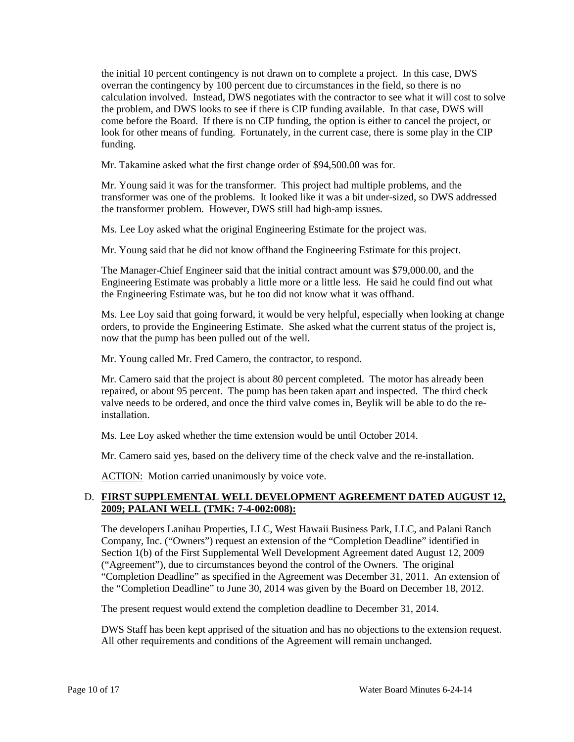the initial 10 percent contingency is not drawn on to complete a project. In this case, DWS overran the contingency by 100 percent due to circumstances in the field, so there is no calculation involved. Instead, DWS negotiates with the contractor to see what it will cost to solve the problem, and DWS looks to see if there is CIP funding available. In that case, DWS will come before the Board. If there is no CIP funding, the option is either to cancel the project, or look for other means of funding. Fortunately, in the current case, there is some play in the CIP funding.

Mr. Takamine asked what the first change order of \$94,500.00 was for.

Mr. Young said it was for the transformer. This project had multiple problems, and the transformer was one of the problems. It looked like it was a bit under-sized, so DWS addressed the transformer problem. However, DWS still had high-amp issues.

Ms. Lee Loy asked what the original Engineering Estimate for the project was.

Mr. Young said that he did not know offhand the Engineering Estimate for this project.

The Manager-Chief Engineer said that the initial contract amount was \$79,000.00, and the Engineering Estimate was probably a little more or a little less. He said he could find out what the Engineering Estimate was, but he too did not know what it was offhand.

Ms. Lee Loy said that going forward, it would be very helpful, especially when looking at change orders, to provide the Engineering Estimate. She asked what the current status of the project is, now that the pump has been pulled out of the well.

Mr. Young called Mr. Fred Camero, the contractor, to respond.

Mr. Camero said that the project is about 80 percent completed. The motor has already been repaired, or about 95 percent. The pump has been taken apart and inspected. The third check valve needs to be ordered, and once the third valve comes in, Beylik will be able to do the reinstallation.

Ms. Lee Loy asked whether the time extension would be until October 2014.

Mr. Camero said yes, based on the delivery time of the check valve and the re-installation.

ACTION: Motion carried unanimously by voice vote.

## D. **FIRST SUPPLEMENTAL WELL DEVELOPMENT AGREEMENT DATED AUGUST 12, 2009; PALANI WELL (TMK: 7-4-002:008):**

The developers Lanihau Properties, LLC, West Hawaii Business Park, LLC, and Palani Ranch Company, Inc. ("Owners") request an extension of the "Completion Deadline" identified in Section 1(b) of the First Supplemental Well Development Agreement dated August 12, 2009 ("Agreement"), due to circumstances beyond the control of the Owners. The original "Completion Deadline" as specified in the Agreement was December 31, 2011. An extension of the "Completion Deadline" to June 30, 2014 was given by the Board on December 18, 2012.

The present request would extend the completion deadline to December 31, 2014.

DWS Staff has been kept apprised of the situation and has no objections to the extension request. All other requirements and conditions of the Agreement will remain unchanged.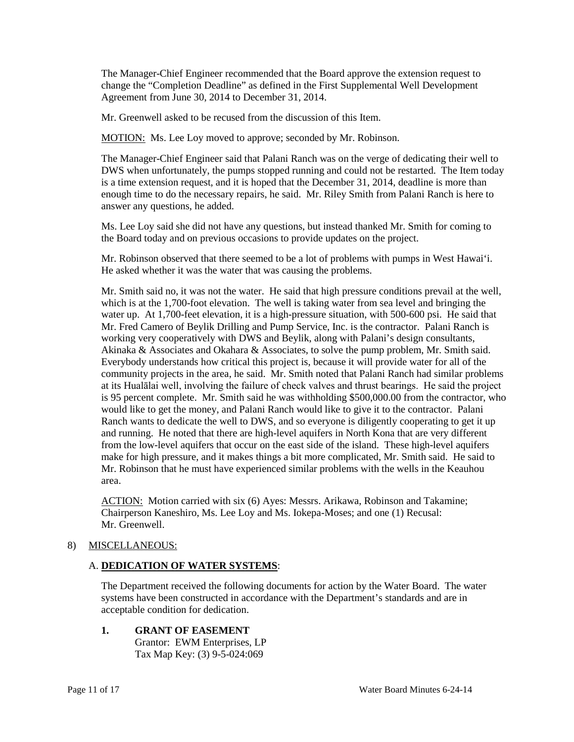The Manager-Chief Engineer recommended that the Board approve the extension request to change the "Completion Deadline" as defined in the First Supplemental Well Development Agreement from June 30, 2014 to December 31, 2014.

Mr. Greenwell asked to be recused from the discussion of this Item.

MOTION: Ms. Lee Loy moved to approve; seconded by Mr. Robinson.

The Manager-Chief Engineer said that Palani Ranch was on the verge of dedicating their well to DWS when unfortunately, the pumps stopped running and could not be restarted. The Item today is a time extension request, and it is hoped that the December 31, 2014, deadline is more than enough time to do the necessary repairs, he said. Mr. Riley Smith from Palani Ranch is here to answer any questions, he added.

Ms. Lee Loy said she did not have any questions, but instead thanked Mr. Smith for coming to the Board today and on previous occasions to provide updates on the project.

Mr. Robinson observed that there seemed to be a lot of problems with pumps in West Hawai'i. He asked whether it was the water that was causing the problems.

Mr. Smith said no, it was not the water. He said that high pressure conditions prevail at the well, which is at the 1,700-foot elevation. The well is taking water from sea level and bringing the water up. At 1,700-feet elevation, it is a high-pressure situation, with 500-600 psi. He said that Mr. Fred Camero of Beylik Drilling and Pump Service, Inc. is the contractor. Palani Ranch is working very cooperatively with DWS and Beylik, along with Palani's design consultants, Akinaka & Associates and Okahara & Associates, to solve the pump problem, Mr. Smith said. Everybody understands how critical this project is, because it will provide water for all of the community projects in the area, he said. Mr. Smith noted that Palani Ranch had similar problems at its Hualālai well, involving the failure of check valves and thrust bearings. He said the project is 95 percent complete. Mr. Smith said he was withholding \$500,000.00 from the contractor, who would like to get the money, and Palani Ranch would like to give it to the contractor. Palani Ranch wants to dedicate the well to DWS, and so everyone is diligently cooperating to get it up and running. He noted that there are high-level aquifers in North Kona that are very different from the low-level aquifers that occur on the east side of the island. These high-level aquifers make for high pressure, and it makes things a bit more complicated, Mr. Smith said. He said to Mr. Robinson that he must have experienced similar problems with the wells in the Keauhou area.

ACTION: Motion carried with six (6) Ayes: Messrs. Arikawa, Robinson and Takamine; Chairperson Kaneshiro, Ms. Lee Loy and Ms. Iokepa-Moses; and one (1) Recusal: Mr. Greenwell.

## 8) MISCELLANEOUS:

## A. **DEDICATION OF WATER SYSTEMS**:

The Department received the following documents for action by the Water Board. The water systems have been constructed in accordance with the Department's standards and are in acceptable condition for dedication.

**1. GRANT OF EASEMENT** Grantor: EWM Enterprises, LP Tax Map Key: (3) 9-5-024:069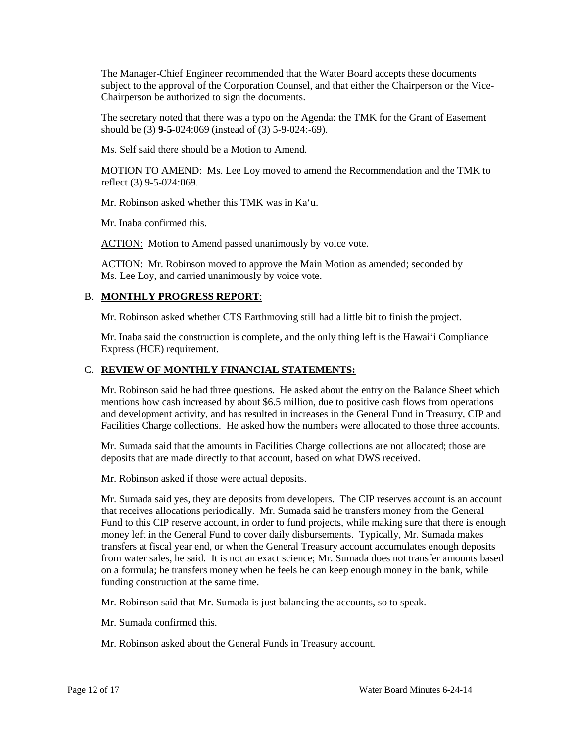The Manager-Chief Engineer recommended that the Water Board accepts these documents subject to the approval of the Corporation Counsel, and that either the Chairperson or the Vice-Chairperson be authorized to sign the documents.

The secretary noted that there was a typo on the Agenda: the TMK for the Grant of Easement should be (3) **9-5**-024:069 (instead of (3) 5-9-024:-69).

Ms. Self said there should be a Motion to Amend.

MOTION TO AMEND: Ms. Lee Loy moved to amend the Recommendation and the TMK to reflect (3) 9-5-024:069.

Mr. Robinson asked whether this TMK was in Ka'u.

Mr. Inaba confirmed this.

ACTION: Motion to Amend passed unanimously by voice vote.

ACTION: Mr. Robinson moved to approve the Main Motion as amended; seconded by Ms. Lee Loy, and carried unanimously by voice vote.

## B. **MONTHLY PROGRESS REPORT**:

Mr. Robinson asked whether CTS Earthmoving still had a little bit to finish the project.

Mr. Inaba said the construction is complete, and the only thing left is the Hawai'i Compliance Express (HCE) requirement.

### C. **REVIEW OF MONTHLY FINANCIAL STATEMENTS:**

Mr. Robinson said he had three questions. He asked about the entry on the Balance Sheet which mentions how cash increased by about \$6.5 million, due to positive cash flows from operations and development activity, and has resulted in increases in the General Fund in Treasury, CIP and Facilities Charge collections. He asked how the numbers were allocated to those three accounts.

Mr. Sumada said that the amounts in Facilities Charge collections are not allocated; those are deposits that are made directly to that account, based on what DWS received.

Mr. Robinson asked if those were actual deposits.

Mr. Sumada said yes, they are deposits from developers. The CIP reserves account is an account that receives allocations periodically. Mr. Sumada said he transfers money from the General Fund to this CIP reserve account, in order to fund projects, while making sure that there is enough money left in the General Fund to cover daily disbursements. Typically, Mr. Sumada makes transfers at fiscal year end, or when the General Treasury account accumulates enough deposits from water sales, he said. It is not an exact science; Mr. Sumada does not transfer amounts based on a formula; he transfers money when he feels he can keep enough money in the bank, while funding construction at the same time.

Mr. Robinson said that Mr. Sumada is just balancing the accounts, so to speak.

Mr. Sumada confirmed this.

Mr. Robinson asked about the General Funds in Treasury account.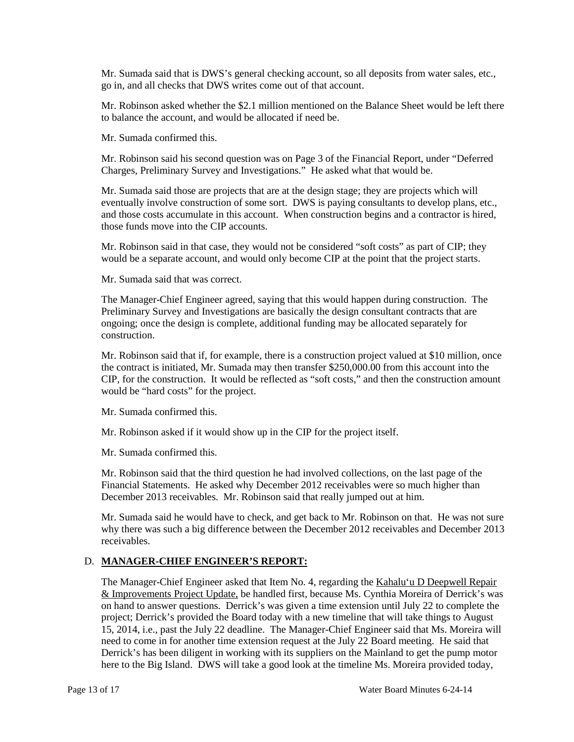Mr. Sumada said that is DWS's general checking account, so all deposits from water sales, etc., go in, and all checks that DWS writes come out of that account.

Mr. Robinson asked whether the \$2.1 million mentioned on the Balance Sheet would be left there to balance the account, and would be allocated if need be.

Mr. Sumada confirmed this.

Mr. Robinson said his second question was on Page 3 of the Financial Report, under "Deferred Charges, Preliminary Survey and Investigations." He asked what that would be.

Mr. Sumada said those are projects that are at the design stage; they are projects which will eventually involve construction of some sort. DWS is paying consultants to develop plans, etc., and those costs accumulate in this account. When construction begins and a contractor is hired, those funds move into the CIP accounts.

Mr. Robinson said in that case, they would not be considered "soft costs" as part of CIP; they would be a separate account, and would only become CIP at the point that the project starts.

Mr. Sumada said that was correct.

The Manager-Chief Engineer agreed, saying that this would happen during construction. The Preliminary Survey and Investigations are basically the design consultant contracts that are ongoing; once the design is complete, additional funding may be allocated separately for construction.

Mr. Robinson said that if, for example, there is a construction project valued at \$10 million, once the contract is initiated, Mr. Sumada may then transfer \$250,000.00 from this account into the CIP, for the construction. It would be reflected as "soft costs," and then the construction amount would be "hard costs" for the project.

Mr. Sumada confirmed this.

Mr. Robinson asked if it would show up in the CIP for the project itself.

Mr. Sumada confirmed this.

Mr. Robinson said that the third question he had involved collections, on the last page of the Financial Statements. He asked why December 2012 receivables were so much higher than December 2013 receivables. Mr. Robinson said that really jumped out at him.

Mr. Sumada said he would have to check, and get back to Mr. Robinson on that. He was not sure why there was such a big difference between the December 2012 receivables and December 2013 receivables.

## D. **MANAGER-CHIEF ENGINEER'S REPORT:**

The Manager-Chief Engineer asked that Item No. 4, regarding the Kahalu'u D Deepwell Repair & Improvements Project Update, be handled first, because Ms. Cynthia Moreira of Derrick's was on hand to answer questions. Derrick's was given a time extension until July 22 to complete the project; Derrick's provided the Board today with a new timeline that will take things to August 15, 2014, i.e., past the July 22 deadline. The Manager-Chief Engineer said that Ms. Moreira will need to come in for another time extension request at the July 22 Board meeting. He said that Derrick's has been diligent in working with its suppliers on the Mainland to get the pump motor here to the Big Island. DWS will take a good look at the timeline Ms. Moreira provided today,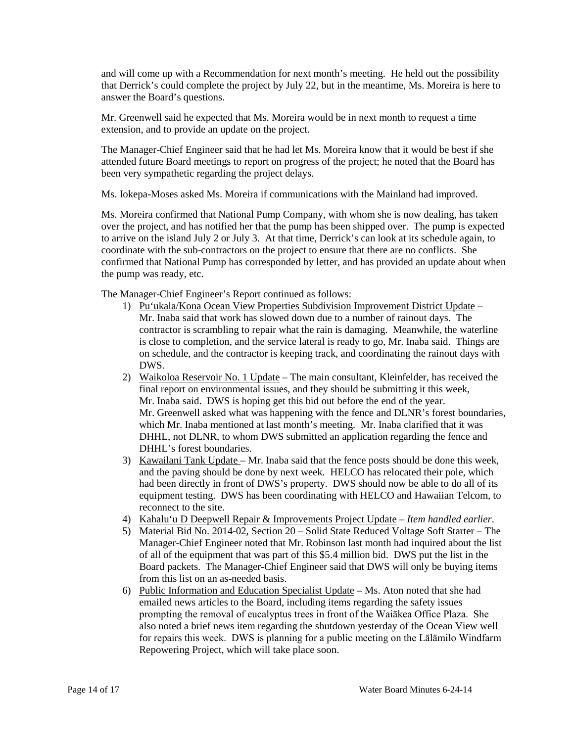and will come up with a Recommendation for next month's meeting. He held out the possibility that Derrick's could complete the project by July 22, but in the meantime, Ms. Moreira is here to answer the Board's questions.

Mr. Greenwell said he expected that Ms. Moreira would be in next month to request a time extension, and to provide an update on the project.

The Manager-Chief Engineer said that he had let Ms. Moreira know that it would be best if she attended future Board meetings to report on progress of the project; he noted that the Board has been very sympathetic regarding the project delays.

Ms. Iokepa-Moses asked Ms. Moreira if communications with the Mainland had improved.

Ms. Moreira confirmed that National Pump Company, with whom she is now dealing, has taken over the project, and has notified her that the pump has been shipped over. The pump is expected to arrive on the island July 2 or July 3. At that time, Derrick's can look at its schedule again, to coordinate with the sub-contractors on the project to ensure that there are no conflicts. She confirmed that National Pump has corresponded by letter, and has provided an update about when the pump was ready, etc.

The Manager-Chief Engineer's Report continued as follows:

- 1) Pu'ukala/Kona Ocean View Properties Subdivision Improvement District Update Mr. Inaba said that work has slowed down due to a number of rainout days. The contractor is scrambling to repair what the rain is damaging. Meanwhile, the waterline is close to completion, and the service lateral is ready to go, Mr. Inaba said. Things are on schedule, and the contractor is keeping track, and coordinating the rainout days with DWS.
- 2) Waikoloa Reservoir No. 1 Update The main consultant, Kleinfelder, has received the final report on environmental issues, and they should be submitting it this week, Mr. Inaba said. DWS is hoping get this bid out before the end of the year. Mr. Greenwell asked what was happening with the fence and DLNR's forest boundaries, which Mr. Inaba mentioned at last month's meeting. Mr. Inaba clarified that it was DHHL, not DLNR, to whom DWS submitted an application regarding the fence and DHHL's forest boundaries.
- 3) Kawailani Tank Update Mr. Inaba said that the fence posts should be done this week, and the paving should be done by next week. HELCO has relocated their pole, which had been directly in front of DWS's property. DWS should now be able to do all of its equipment testing. DWS has been coordinating with HELCO and Hawaiian Telcom, to reconnect to the site.
- 4) Kahalu'u D Deepwell Repair & Improvements Project Update *Item handled earlier*.
- 5) Material Bid No. 2014-02, Section 20 Solid State Reduced Voltage Soft Starter The Manager-Chief Engineer noted that Mr. Robinson last month had inquired about the list of all of the equipment that was part of this \$5.4 million bid. DWS put the list in the Board packets. The Manager-Chief Engineer said that DWS will only be buying items from this list on an as-needed basis.
- 6) Public Information and Education Specialist Update Ms. Aton noted that she had emailed news articles to the Board, including items regarding the safety issues prompting the removal of eucalyptus trees in front of the Waiākea Office Plaza. She also noted a brief news item regarding the shutdown yesterday of the Ocean View well for repairs this week. DWS is planning for a public meeting on the Lālāmilo Windfarm Repowering Project, which will take place soon.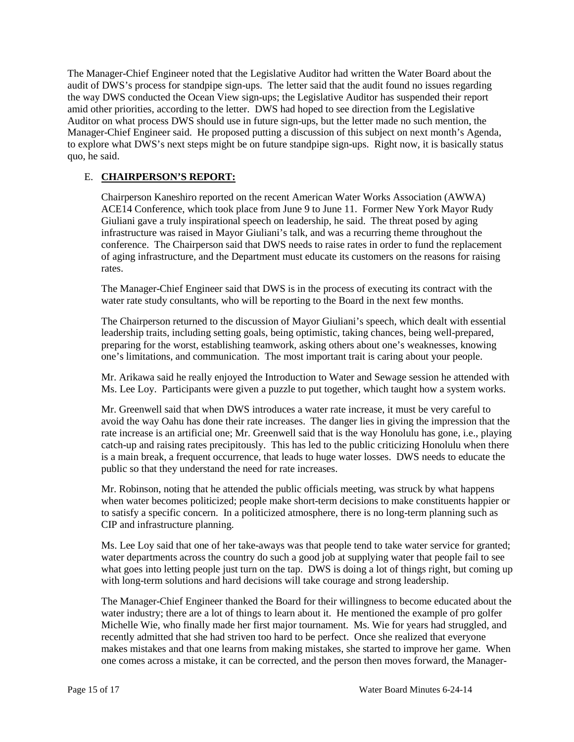The Manager-Chief Engineer noted that the Legislative Auditor had written the Water Board about the audit of DWS's process for standpipe sign-ups. The letter said that the audit found no issues regarding the way DWS conducted the Ocean View sign-ups; the Legislative Auditor has suspended their report amid other priorities, according to the letter. DWS had hoped to see direction from the Legislative Auditor on what process DWS should use in future sign-ups, but the letter made no such mention, the Manager-Chief Engineer said. He proposed putting a discussion of this subject on next month's Agenda, to explore what DWS's next steps might be on future standpipe sign-ups. Right now, it is basically status quo, he said.

## E. **CHAIRPERSON'S REPORT:**

Chairperson Kaneshiro reported on the recent American Water Works Association (AWWA) ACE14 Conference, which took place from June 9 to June 11. Former New York Mayor Rudy Giuliani gave a truly inspirational speech on leadership, he said. The threat posed by aging infrastructure was raised in Mayor Giuliani's talk, and was a recurring theme throughout the conference. The Chairperson said that DWS needs to raise rates in order to fund the replacement of aging infrastructure, and the Department must educate its customers on the reasons for raising rates.

The Manager-Chief Engineer said that DWS is in the process of executing its contract with the water rate study consultants, who will be reporting to the Board in the next few months.

The Chairperson returned to the discussion of Mayor Giuliani's speech, which dealt with essential leadership traits, including setting goals, being optimistic, taking chances, being well-prepared, preparing for the worst, establishing teamwork, asking others about one's weaknesses, knowing one's limitations, and communication. The most important trait is caring about your people.

Mr. Arikawa said he really enjoyed the Introduction to Water and Sewage session he attended with Ms. Lee Loy. Participants were given a puzzle to put together, which taught how a system works.

Mr. Greenwell said that when DWS introduces a water rate increase, it must be very careful to avoid the way Oahu has done their rate increases. The danger lies in giving the impression that the rate increase is an artificial one; Mr. Greenwell said that is the way Honolulu has gone, i.e., playing catch-up and raising rates precipitously. This has led to the public criticizing Honolulu when there is a main break, a frequent occurrence, that leads to huge water losses. DWS needs to educate the public so that they understand the need for rate increases.

Mr. Robinson, noting that he attended the public officials meeting, was struck by what happens when water becomes politicized; people make short-term decisions to make constituents happier or to satisfy a specific concern. In a politicized atmosphere, there is no long-term planning such as CIP and infrastructure planning.

Ms. Lee Loy said that one of her take-aways was that people tend to take water service for granted; water departments across the country do such a good job at supplying water that people fail to see what goes into letting people just turn on the tap. DWS is doing a lot of things right, but coming up with long-term solutions and hard decisions will take courage and strong leadership.

The Manager-Chief Engineer thanked the Board for their willingness to become educated about the water industry; there are a lot of things to learn about it. He mentioned the example of pro golfer Michelle Wie, who finally made her first major tournament. Ms. Wie for years had struggled, and recently admitted that she had striven too hard to be perfect. Once she realized that everyone makes mistakes and that one learns from making mistakes, she started to improve her game. When one comes across a mistake, it can be corrected, and the person then moves forward, the Manager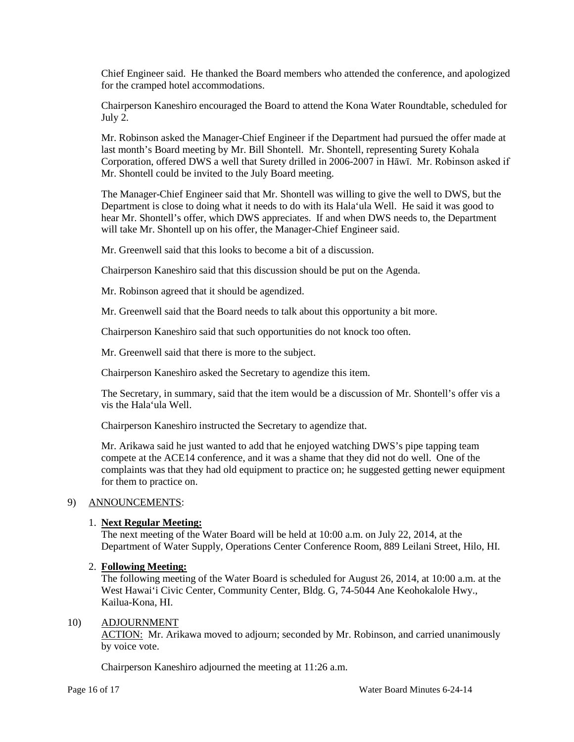Chief Engineer said. He thanked the Board members who attended the conference, and apologized for the cramped hotel accommodations.

Chairperson Kaneshiro encouraged the Board to attend the Kona Water Roundtable, scheduled for July 2.

Mr. Robinson asked the Manager-Chief Engineer if the Department had pursued the offer made at last month's Board meeting by Mr. Bill Shontell. Mr. Shontell, representing Surety Kohala Corporation, offered DWS a well that Surety drilled in 2006-2007 in Hāwī. Mr. Robinson asked if Mr. Shontell could be invited to the July Board meeting.

The Manager-Chief Engineer said that Mr. Shontell was willing to give the well to DWS, but the Department is close to doing what it needs to do with its Hala'ula Well. He said it was good to hear Mr. Shontell's offer, which DWS appreciates. If and when DWS needs to, the Department will take Mr. Shontell up on his offer, the Manager-Chief Engineer said.

Mr. Greenwell said that this looks to become a bit of a discussion.

Chairperson Kaneshiro said that this discussion should be put on the Agenda.

Mr. Robinson agreed that it should be agendized.

Mr. Greenwell said that the Board needs to talk about this opportunity a bit more.

Chairperson Kaneshiro said that such opportunities do not knock too often.

Mr. Greenwell said that there is more to the subject.

Chairperson Kaneshiro asked the Secretary to agendize this item.

The Secretary, in summary, said that the item would be a discussion of Mr. Shontell's offer vis a vis the Hala'ula Well.

Chairperson Kaneshiro instructed the Secretary to agendize that.

Mr. Arikawa said he just wanted to add that he enjoyed watching DWS's pipe tapping team compete at the ACE14 conference, and it was a shame that they did not do well. One of the complaints was that they had old equipment to practice on; he suggested getting newer equipment for them to practice on.

## 9) ANNOUNCEMENTS:

## 1. **Next Regular Meeting:**

The next meeting of the Water Board will be held at 10:00 a.m. on July 22, 2014, at the Department of Water Supply, Operations Center Conference Room, 889 Leilani Street, Hilo, HI.

## 2. **Following Meeting:**

The following meeting of the Water Board is scheduled for August 26, 2014, at 10:00 a.m. at the West Hawai'i Civic Center, Community Center, Bldg. G, 74-5044 Ane Keohokalole Hwy., Kailua-Kona, HI.

#### 10) ADJOURNMENT

ACTION: Mr. Arikawa moved to adjourn; seconded by Mr. Robinson, and carried unanimously by voice vote.

Chairperson Kaneshiro adjourned the meeting at 11:26 a.m.